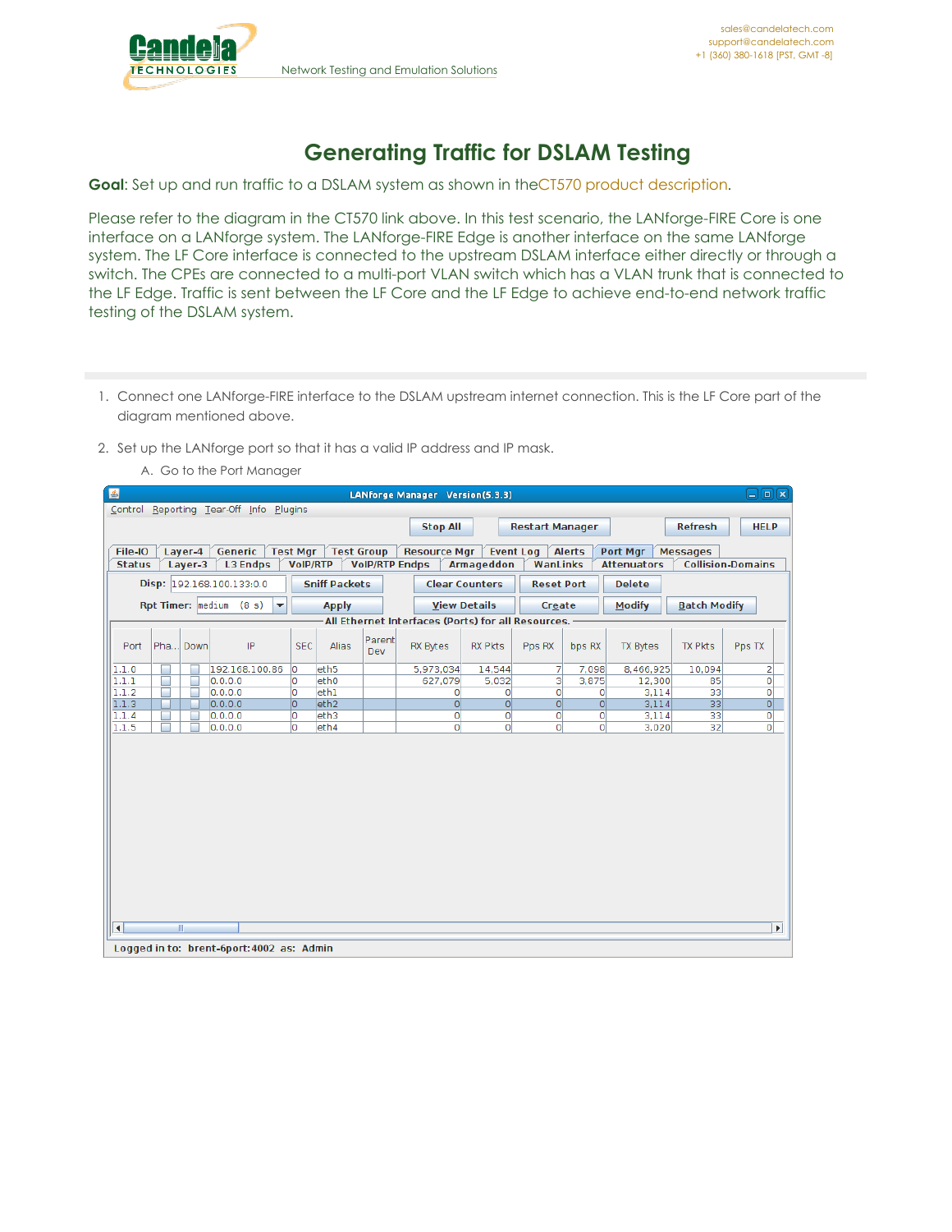

## **Generating Traffic for DSLAM Testing**

**Goal**: Set up and run traffic to a DSLAM system as shown in theCT570 product [description](http://candelatech.com/ct570_product.php).

Please refer to the diagram in the CT570 link above. In this test scenario, the LANforge-FIRE Core is one interface on a LANforge system. The LANforge-FIRE Edge is another interface on the same LANforge system. The LF Core interface is connected to the upstream DSLAM interface either directly or through a switch. The CPEs are connected to a multi-port VLAN switch which has a VLAN trunk that is connected to the LF Edge. Traffic is sent between the LF Core and the LF Edge to achieve end-to-end network traffic testing of the DSLAM system.

- 1. Connect one LANforge-FIRE interface to the DSLAM upstream internet connection. This is the LF Core part of the diagram mentioned above.
- 2. Set up the LANforge port so that it has a valid IP address and IP mask.
	- A. Go to the Port Manager

| 国                   | コ回図<br>LANforge Manager Version(5.3.3)                                                                                                                                                                                                                              |                                           |                 |                  |  |                       |                   |                |                |                    |                 |                          |  |  |  |
|---------------------|---------------------------------------------------------------------------------------------------------------------------------------------------------------------------------------------------------------------------------------------------------------------|-------------------------------------------|-----------------|------------------|--|-----------------------|-------------------|----------------|----------------|--------------------|-----------------|--------------------------|--|--|--|
|                     | Control Reporting Tear-Off Info Plugins                                                                                                                                                                                                                             |                                           |                 |                  |  |                       |                   |                |                |                    |                 |                          |  |  |  |
|                     | <b>Stop All</b><br><b>Refresh</b><br><b>HELP</b><br><b>Restart Manager</b>                                                                                                                                                                                          |                                           |                 |                  |  |                       |                   |                |                |                    |                 |                          |  |  |  |
|                     | Layer-4<br>Generic<br><b>Alerts</b><br>File-IO<br><b>Test Mgr</b><br><b>Test Group</b><br><b>Resource Mgr</b><br><b>Event Log</b><br>Port Mgr<br><b>Messages</b>                                                                                                    |                                           |                 |                  |  |                       |                   |                |                |                    |                 |                          |  |  |  |
| <b>Status</b>       | Layer-3                                                                                                                                                                                                                                                             | <b>L3 Endps</b>                           | <b>VoIP/RTP</b> |                  |  | <b>VoIP/RTP Endps</b> | <b>Armageddon</b> | WanLinks       |                | <b>Attenuators</b> |                 | <b>Collision-Domains</b> |  |  |  |
|                     | Disp: 192.168.100.133:0.0<br><b>Sniff Packets</b><br><b>Clear Counters</b><br><b>Delete</b><br><b>Reset Port</b>                                                                                                                                                    |                                           |                 |                  |  |                       |                   |                |                |                    |                 |                          |  |  |  |
|                     | Rpt Timer: $ $ medium (8 s)<br>$\overline{\mathbf{v}}$<br><b>Modify</b><br><b>Batch Modify</b><br><b>View Details</b><br><b>Apply</b><br>Create<br>All Ethernet Interfaces (Ports) for all Resources.                                                               |                                           |                 |                  |  |                       |                   |                |                |                    |                 |                          |  |  |  |
|                     |                                                                                                                                                                                                                                                                     |                                           |                 |                  |  |                       |                   |                |                |                    |                 |                          |  |  |  |
| Port                | Parent<br>Pha Down<br>IP<br><b>SEC</b><br>Alias<br><b>TX Pkts</b><br><b>RX Bytes</b><br><b>RX Pkts</b><br>Pps RX<br><b>TX Bytes</b><br>Pps TX<br>bps RX<br>Dev                                                                                                      |                                           |                 |                  |  |                       |                   |                |                |                    |                 |                          |  |  |  |
| 1.1.0               |                                                                                                                                                                                                                                                                     | 192.168.100.86                            | lo.             | eth <sub>5</sub> |  | 5,973,034             | 14.544            | 7              | 7.098          | 8.466.925          | 10,094          | 2                        |  |  |  |
| 1.1.1               | ×                                                                                                                                                                                                                                                                   | 0.0.0.0                                   | O               | eth <sub>0</sub> |  | 627,079               | 5,032             | 3              | 3,875          | 12,300             | 85              | o                        |  |  |  |
| 1.1.2               |                                                                                                                                                                                                                                                                     | 0.0.0.0                                   | O               | ethl             |  | $\circ$               | $\circ$           | $\Omega$       | 0              | 3,114              | 33              | $\overline{0}$           |  |  |  |
| 1.1.3               |                                                                                                                                                                                                                                                                     | 0.0.0.0                                   | lo.             | eth <sub>2</sub> |  | 0                     | $\Omega$          | $\overline{0}$ | $\overline{0}$ | 3,114              | 33 <sup>1</sup> | 0                        |  |  |  |
|                     |                                                                                                                                                                                                                                                                     |                                           |                 |                  |  |                       |                   |                |                |                    |                 |                          |  |  |  |
|                     | 33<br>1.1.4<br>0.0.0.0<br>eth <sub>3</sub><br>$\mathbf{0}$<br>0<br>$\overline{0}$<br>$\overline{0}$<br>3,114<br>$\mathbf{0}$<br>о<br>$\overline{0}$<br>1.1.5<br>O<br>$\circ$<br>$\circ$<br>$\overline{0}$<br>3,020<br>32 <sub>2</sub><br>$\circ$<br>0.0.0.0<br>eth4 |                                           |                 |                  |  |                       |                   |                |                |                    |                 |                          |  |  |  |
| $\vert \cdot \vert$ | W.                                                                                                                                                                                                                                                                  | Logged in to: brent-6port: 4002 as: Admin |                 |                  |  |                       |                   |                |                |                    |                 | $\blacktriangleright$    |  |  |  |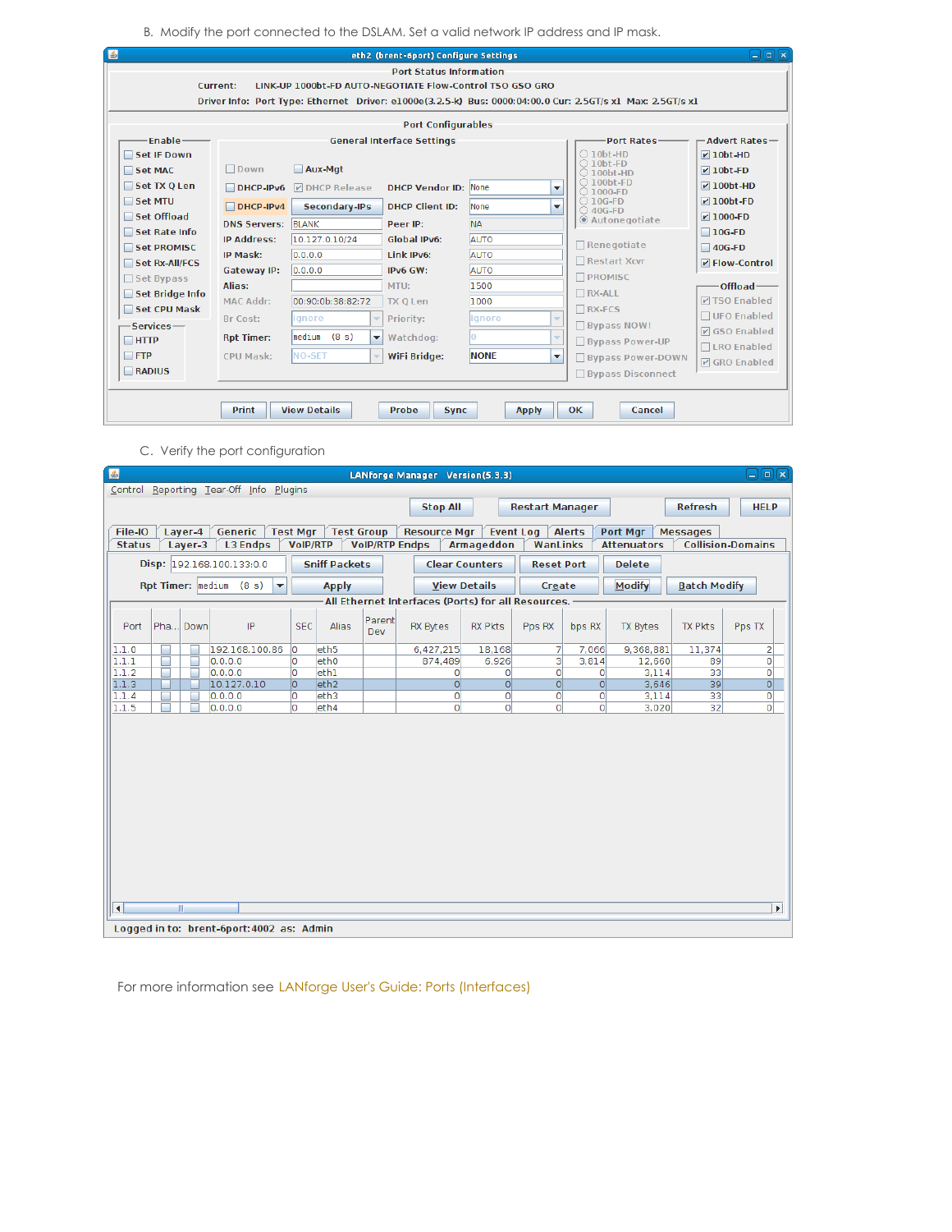B. Modify the port connected to the DSLAM. Set a valid network IP address and IP mask.

|                                                                                                                                                                        | <b>Port Status Information</b><br>LINK-UP 1000bt-FD AUTO-NEGOTIATE Flow-Control TSO GSO GRO<br>Current:<br>Driver Info: Port Type: Ethernet Driver: e1000e(3.2.5-k) Bus: 0000:04:00.0 Cur: 2.5GT/s x1 Max: 2.5GT/s x1 |                                                |                                     |                             |                               |                                                                  |                                                    |  |  |  |  |  |  |  |
|------------------------------------------------------------------------------------------------------------------------------------------------------------------------|-----------------------------------------------------------------------------------------------------------------------------------------------------------------------------------------------------------------------|------------------------------------------------|-------------------------------------|-----------------------------|-------------------------------|------------------------------------------------------------------|----------------------------------------------------|--|--|--|--|--|--|--|
| <b>Port Configurables</b>                                                                                                                                              |                                                                                                                                                                                                                       |                                                |                                     |                             |                               |                                                                  |                                                    |  |  |  |  |  |  |  |
| Enable-<br>$-A$ dvert Rates $-$<br><b>General Interface Settings</b><br><b>Port Rates-</b><br>$\bigcirc$ 10bt-HD<br>Set IF Down<br>$\nu$ 10bt-HD<br>$\bigcirc$ 10bt-FD |                                                                                                                                                                                                                       |                                                |                                     |                             |                               |                                                                  |                                                    |  |  |  |  |  |  |  |
| Set MAC<br>Set TX O Len                                                                                                                                                | $\Box$ Down<br>$DHCP-IPv6$                                                                                                                                                                                            | Aux-Mgt<br><b>M</b> DHCP Release               | <b>DHCP Vendor ID: None</b>         |                             | $\overline{\phantom{a}}$      | $\bigcirc$ 100bt-HD<br>$\bigcirc$ 100bt-FD<br>$\bigcirc$ 1000-FD | $\nu$ 10bt-FD<br>$V$ 100bt-HD                      |  |  |  |  |  |  |  |
| Set MTU<br>Set Offload                                                                                                                                                 | $DHCP-IPv4$<br><b>DNS Servers: BLANK</b>                                                                                                                                                                              | <b>Secondary-IPs</b>                           | <b>DHCP Client ID:</b><br>Peer IP:  | None<br><b>NA</b>           | $\overline{\phantom{a}}$      | $\bigcirc$ 10G-FD<br>$\bigcirc$ 40G-FD<br>@ Autonegotiate        | $\nu$ 100bt-FD<br>$V$ 1000-FD                      |  |  |  |  |  |  |  |
| Set Rate Info<br>Set PROMISC<br>Set Rx-All/FCS                                                                                                                         | <b>IP Address:</b><br>IP Mask:                                                                                                                                                                                        | 10.127.0.10/24<br>0.0.0.0                      | <b>Global IPv6:</b><br>Link IPv6:   | <b>AUTO</b><br><b>AUTO</b>  |                               | Renegotiate<br>Restart Xcvr                                      | $\Box$ 10G-FD<br>$\Box$ 40G-FD<br>$V$ Flow-Control |  |  |  |  |  |  |  |
| $\Box$ Set Bypass<br>Set Bridge Info                                                                                                                                   | Gateway IP:<br>Alias:<br><b>MAC Addr:</b>                                                                                                                                                                             | 0.0.0.0<br>00:90:0b:38:82:72                   | IPv6 GW:<br>MTU:<br><b>TX O Len</b> | <b>AUTO</b><br>1500<br>1000 |                               | <b>PROMISC</b><br>$\Box$ RX-ALL                                  | Offload-<br><b>DISO Enabled</b>                    |  |  |  |  |  |  |  |
| Set CPU Mask<br>-Services-                                                                                                                                             | Br Cost:                                                                                                                                                                                                              | lgnore<br>median (8 s)                         | Priority:                           | Ignore                      | $\overline{\phantom{a}}$      | $\Box$ RX-FCS<br>$\Box$ Bypass NOW!                              | □ UFO Enabled<br><b>V</b> GSO Enabled              |  |  |  |  |  |  |  |
| $\Box$ HTTP<br>$\Box$ FTP                                                                                                                                              | <b>Rpt Timer:</b><br><b>CPU Mask:</b>                                                                                                                                                                                 | $\overline{\phantom{a}}$<br><b>NO-SET</b><br>٠ | Watchdog:<br>WiFi Bridge:           | <b>NONE</b>                 | $\overline{\phantom{a}}$<br>▼ | <b>Bypass Power-UP</b><br><b>Bypass Power-DOWN</b>               | □LRO Enabled<br><b>V</b> GRO Enabled               |  |  |  |  |  |  |  |
| RADIUS                                                                                                                                                                 |                                                                                                                                                                                                                       |                                                |                                     |                             |                               | <b>□ Bypass Disconnect</b>                                       |                                                    |  |  |  |  |  |  |  |

C. Verify the port configuration

| 圖                      | 日回図<br>LANforge Manager Version(5.3.3)                                                                                                                                                                                                                                                                                                  |                                           |     |                  |  |                                                    |                |                |         |           |        |                       |  |  |
|------------------------|-----------------------------------------------------------------------------------------------------------------------------------------------------------------------------------------------------------------------------------------------------------------------------------------------------------------------------------------|-------------------------------------------|-----|------------------|--|----------------------------------------------------|----------------|----------------|---------|-----------|--------|-----------------------|--|--|
|                        | Control Reporting Tear-Off Info Plugins                                                                                                                                                                                                                                                                                                 |                                           |     |                  |  |                                                    |                |                |         |           |        |                       |  |  |
|                        | <b>Refresh</b><br><b>Stop All</b><br><b>HELP</b><br><b>Restart Manager</b>                                                                                                                                                                                                                                                              |                                           |     |                  |  |                                                    |                |                |         |           |        |                       |  |  |
|                        | Generic<br><b>Alerts</b><br>File-IO<br>Layer-4<br><b>Test Mgr</b><br><b>Test Group</b><br><b>Resource Mgr</b><br><b>Event Log</b><br><b>Port Mgr</b><br><b>Messages</b>                                                                                                                                                                 |                                           |     |                  |  |                                                    |                |                |         |           |        |                       |  |  |
|                        | Layer-3<br><b>L3 Endps</b><br><b>VolP/RTP Endps</b><br><b>Armageddon</b><br>WanLinks<br><b>Collision-Domains</b><br><b>Status</b><br><b>VoIP/RTP</b><br><b>Attenuators</b>                                                                                                                                                              |                                           |     |                  |  |                                                    |                |                |         |           |        |                       |  |  |
|                        | Disp: 192.168.100.133:0.0<br><b>Sniff Packets</b><br><b>Clear Counters</b><br><b>Reset Port</b><br><b>Delete</b>                                                                                                                                                                                                                        |                                           |     |                  |  |                                                    |                |                |         |           |        |                       |  |  |
|                        | Rpt Timer: $ $ medium (8 s)<br><b>Modify</b><br><b>Batch Modify</b><br><b>View Details</b><br><b>Apply</b><br>Create<br>$\overline{\phantom{a}}$                                                                                                                                                                                        |                                           |     |                  |  |                                                    |                |                |         |           |        |                       |  |  |
|                        |                                                                                                                                                                                                                                                                                                                                         |                                           |     |                  |  | All Ethernet Interfaces (Ports) for all Resources. |                |                |         |           |        |                       |  |  |
| Port                   | Parent<br>Pha Down<br>Alias<br>IP<br><b>SEC</b><br><b>RX Pkts</b><br><b>TX Pkts</b><br><b>RX Bytes</b><br>Pps RX<br>bps RX<br><b>TX Bytes</b><br>Pps TX<br>Dev                                                                                                                                                                          |                                           |     |                  |  |                                                    |                |                |         |           |        |                       |  |  |
| 1.1.0                  |                                                                                                                                                                                                                                                                                                                                         | 192.168.100.86                            | lo. | eth <sub>5</sub> |  | 6,427,215                                          | 18,168         | 7              | 7,066   | 9,368,881 | 11,374 | $\mathbf{z}$          |  |  |
| 1.1.1                  |                                                                                                                                                                                                                                                                                                                                         | 0.0.0.0                                   | o   | eth <sub>0</sub> |  | 874,489                                            | 6,926          | 3              | 3,814   | 12,660    | 89     | o                     |  |  |
| 1.1.2                  |                                                                                                                                                                                                                                                                                                                                         | 0.0.0.0                                   | lo. | ethl             |  | $\circ$                                            | $\overline{0}$ | $\overline{0}$ | $\circ$ | 3.114     | 33     | 0                     |  |  |
|                        |                                                                                                                                                                                                                                                                                                                                         |                                           |     |                  |  |                                                    |                |                |         |           |        |                       |  |  |
|                        |                                                                                                                                                                                                                                                                                                                                         |                                           |     |                  |  |                                                    | $\overline{0}$ | $\overline{0}$ |         |           |        |                       |  |  |
|                        | $\overline{0}$<br>1.1.3<br>10.127.0.10<br>lo.<br>eth <sub>2</sub><br>$\overline{0}$<br>$\Omega$<br>$\overline{0}$<br>3,646<br>39<br>$\mathsf{o}$<br>lo.<br>eth3<br>33<br>1.1.4<br>0.0.0.0<br>$\circ$<br>$\circ$<br>$\overline{0}$<br>0<br>3.114<br>0<br>1.1.5<br>١o<br>eth4<br>$\circ$<br>$\overline{0}$<br>32<br>0<br>3,020<br>0.0.0.0 |                                           |     |                  |  |                                                    |                |                |         |           |        |                       |  |  |
| $\left  \cdot \right $ | $\mathbb{R}$                                                                                                                                                                                                                                                                                                                            |                                           |     |                  |  |                                                    |                |                |         |           |        | $\blacktriangleright$ |  |  |
|                        |                                                                                                                                                                                                                                                                                                                                         | Logged in to: brent-6port: 4002 as: Admin |     |                  |  |                                                    |                |                |         |           |        |                       |  |  |

For more information see LANforge User's Guide: Ports [\(Interfaces\)](http://www.candelatech.com/lfgui_ug.php#port)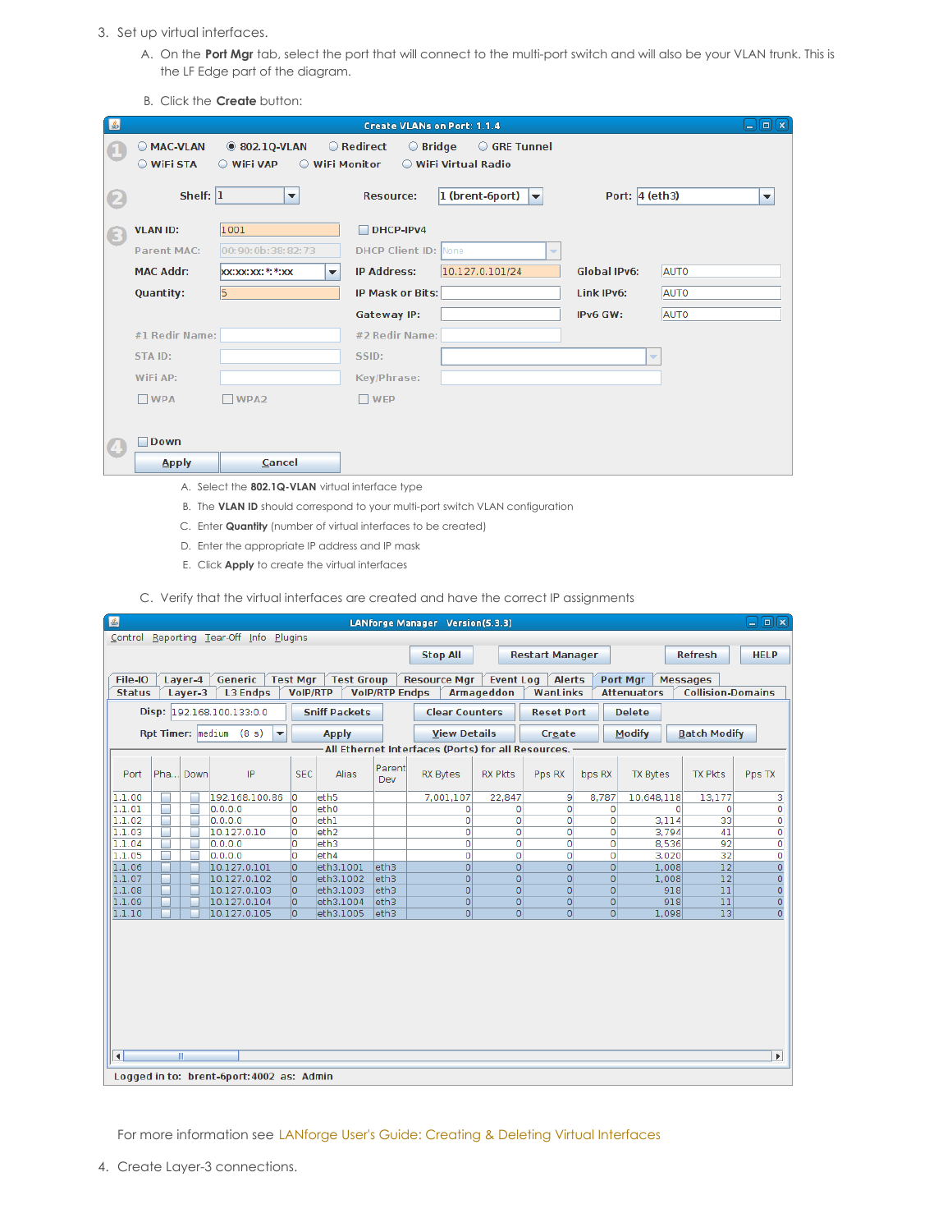- 3. Set up virtual interfaces.
	- A. On the **Port Mgr** tab, select the port that will connect to the multi-port switch and will also be your VLAN trunk. This is the LF Edge part of the diagram.
	- B. Click the **Create** button:

| 圈        |                        |                                                    | <b>Create VLANs on Port: 1.1.4</b>                                     | $\Box$ e $\bm{\kappa}$ |
|----------|------------------------|----------------------------------------------------|------------------------------------------------------------------------|------------------------|
|          | MAC-VLAN<br>○ WiFi STA | <b>802.1Q-VLAN</b><br>○ WiFi VAP<br>○ WiFi Monitor | ○ Redirect<br>$\bigcirc$ Bridge<br>GRE Tunnel<br>○ WiFi Virtual Radio  |                        |
| 2        | Shelf: $ 1 $           | $\blacktriangledown$                               | Port: $4$ (eth3)<br>$\vert$ 1 (brent-6port)<br><b>Resource:</b><br>Iv. | $\blacktriangledown$   |
| (3)      | <b>VLAN ID:</b>        | 1001                                               | $\Box$ DHCP-IPv4                                                       |                        |
|          | <b>Parent MAC:</b>     | 00:90:0b:38:82:73                                  | <b>DHCP Client ID: None</b><br>$\overline{\phantom{a}}$                |                        |
|          | <b>MAC Addr:</b>       | <b>xx:xx:xx:*:*:xx</b><br>$\overline{\phantom{a}}$ | 10.127.0.101/24<br><b>Global IPv6:</b><br>AUTO<br><b>IP Address:</b>   |                        |
|          | Quantity:              | 5                                                  | <b>AUTO</b><br><b>IP Mask or Bits:</b><br>Link IPv6:                   |                        |
|          |                        |                                                    | <b>AUTO</b><br>Gateway IP:<br>IPv6 GW:                                 |                        |
|          | #1 Redir Name:         |                                                    | #2 Redir Name:                                                         |                        |
|          | STA ID:                |                                                    | SSID:<br>$\overline{\phantom{a}}$                                      |                        |
|          | WiFi AP:               |                                                    | Key/Phrase:                                                            |                        |
|          | $\Box$ WPA             | WPA <sub>2</sub>                                   | $\Box$ WEP                                                             |                        |
|          |                        |                                                    |                                                                        |                        |
| $\bf{G}$ | <b>Down</b><br>٠       |                                                    |                                                                        |                        |
|          | <b>Apply</b>           | Cancel                                             |                                                                        |                        |
|          |                        |                                                    |                                                                        |                        |

- A. Select the **802.1Q-VLAN** virtual interface type
- B. The **VLAN ID** should correspond to your multi-port switch VLAN configuration
- C. Enter **Quantity** (number of virtual interfaces to be created)
- D. Enter the appropriate IP address and IP mask
- E. Click **Apply** to create the virtual interfaces
- C. Verify that the virtual interfaces are created and have the correct IP assignments

| 图                   |                                                                                                                                                                       |         |                                           |                 |                   |                       | LANforge Manager Version(5.3.3)                    |                     |                     |                |                    |                          | コ回区                   |  |  |
|---------------------|-----------------------------------------------------------------------------------------------------------------------------------------------------------------------|---------|-------------------------------------------|-----------------|-------------------|-----------------------|----------------------------------------------------|---------------------|---------------------|----------------|--------------------|--------------------------|-----------------------|--|--|
|                     |                                                                                                                                                                       |         | Control Reporting Tear-Off Info Plugins   |                 |                   |                       |                                                    |                     |                     |                |                    |                          |                       |  |  |
|                     | <b>Stop All</b><br><b>Refresh</b><br><b>HELP</b><br><b>Restart Manager</b>                                                                                            |         |                                           |                 |                   |                       |                                                    |                     |                     |                |                    |                          |                       |  |  |
|                     |                                                                                                                                                                       |         |                                           |                 |                   |                       |                                                    |                     |                     |                |                    |                          |                       |  |  |
| File-IO             |                                                                                                                                                                       | Laver-4 | Generic                                   | <b>Test Mgr</b> | <b>Test Group</b> |                       | <b>Resource Mgr</b>                                | <b>Event Log</b>    | <b>Alerts</b>       |                | Port Mgr           | <b>Messages</b>          |                       |  |  |
| <b>Status</b>       |                                                                                                                                                                       | Layer-3 | <b>L3 Endps</b>                           | <b>VoIP/RTP</b> |                   | <b>VoIP/RTP Endps</b> |                                                    | <b>Armageddon</b>   | WanLinks            |                | <b>Attenuators</b> | <b>Collision-Domains</b> |                       |  |  |
|                     | Disp: 192.168.100.133:0.0<br><b>Sniff Packets</b><br><b>Delete</b><br><b>Clear Counters</b><br><b>Reset Port</b>                                                      |         |                                           |                 |                   |                       |                                                    |                     |                     |                |                    |                          |                       |  |  |
|                     | Rpt Timer: $ $ medium (8 s)<br><b>Modify</b><br><b>Batch Modify</b><br><b>View Details</b><br>$\overline{\phantom{a}}$<br><b>Apply</b><br>Create                      |         |                                           |                 |                   |                       |                                                    |                     |                     |                |                    |                          |                       |  |  |
|                     |                                                                                                                                                                       |         |                                           |                 |                   |                       | All Ethernet Interfaces (Ports) for all Resources. |                     |                     |                |                    |                          |                       |  |  |
| Port                | Parent<br>Pha Down<br>IP<br><b>TX Pkts</b><br><b>SEC</b><br><b>Alias</b><br><b>RX Bytes</b><br><b>RX Pkts</b><br>bps RX<br><b>TX Bytes</b><br>Pps TX<br>Pps RX<br>Dev |         |                                           |                 |                   |                       |                                                    |                     |                     |                |                    |                          |                       |  |  |
| 1.1.00              |                                                                                                                                                                       |         | 192.168.100.86                            | ١o              | eth <sub>5</sub>  |                       | 7,001,107                                          | 22.847              | 9                   | 8,787          | 10,648,118         | 13,177                   | 3                     |  |  |
| 1.1.01              |                                                                                                                                                                       |         | 0.0.0.0                                   | O               | eth <sub>0</sub>  |                       | $\Omega$                                           | 0                   | $\mathbf{0}$        | $\Omega$       |                    | $\Omega$<br>$\Omega$     | 0                     |  |  |
| 1.1.02              | ٠                                                                                                                                                                     |         | 0.0.0.0                                   | O               | eth1              |                       | 0                                                  | 0                   | $\circ$             | $\circ$        | 3.114              | 33                       | $\overline{0}$        |  |  |
| 1.1.03              |                                                                                                                                                                       |         | 10.127.0.10                               | lo.             | eth <sub>2</sub>  |                       | 0                                                  | 0                   | 0                   | 0              | 3,794              | 41                       | 0                     |  |  |
| 1.1.04              |                                                                                                                                                                       |         | 0.0.0.0                                   | O               | eth <sub>3</sub>  |                       | 0                                                  | Ō                   | $\overline{0}$      | 0              | 8,536              | 92                       | 0                     |  |  |
| 1.1.05<br>1.1.06    | ٠                                                                                                                                                                     |         | 0.0.0.0<br>10.127.0.101                   | lo.<br>۱o       | eth4<br>eth3.1001 | eth3                  | 0<br>$\circ$                                       | Ō<br>$\overline{0}$ | 0<br>$\overline{0}$ | 0<br>$\Omega$  | 3,020<br>1,008     | 32<br>12                 | 0<br>$\overline{0}$   |  |  |
| 1.1.07              |                                                                                                                                                                       |         | 10.127.0.102                              | lo.             | eth3.1002         | leth3                 | $\overline{0}$                                     | $\overline{0}$      | $\Omega$            | $\overline{0}$ | 1,008              | 12                       | $\overline{0}$        |  |  |
| 1.1.08              |                                                                                                                                                                       |         | 10.127.0.103                              | lo.             | eth3.1003         | eth3                  | $\overline{0}$                                     | $\overline{0}$      | $\Omega$            | $\overline{0}$ |                    | 918<br>11                | $\overline{O}$        |  |  |
| 1.1.09              |                                                                                                                                                                       |         | 10.127.0.104                              | lo.             | eth3.1004         | eth3                  | $\overline{0}$                                     | $\overline{0}$      | $\overline{0}$      | $\overline{0}$ |                    | 11<br>918                | $\overline{0}$        |  |  |
| 1.1.10              |                                                                                                                                                                       |         | 10.127.0.105                              | lo.             | eth3.1005         | eth <sub>3</sub>      | $\overline{0}$                                     | $\overline{0}$      | $\Omega$            | $\Omega$       | 1,098              | 13                       | $\overline{O}$        |  |  |
|                     |                                                                                                                                                                       |         |                                           |                 |                   |                       |                                                    |                     |                     |                |                    |                          |                       |  |  |
|                     |                                                                                                                                                                       |         |                                           |                 |                   |                       |                                                    |                     |                     |                |                    |                          |                       |  |  |
| $\vert \cdot \vert$ |                                                                                                                                                                       | W.      |                                           |                 |                   |                       |                                                    |                     |                     |                |                    |                          | $\blacktriangleright$ |  |  |
|                     |                                                                                                                                                                       |         | Logged in to: brent-6port: 4002 as: Admin |                 |                   |                       |                                                    |                     |                     |                |                    |                          |                       |  |  |

For more information see LANforge User's Guide: Creating & Deleting Virtual [Interfaces](http://www.candelatech.com/lfgui_ug.php#port_cr)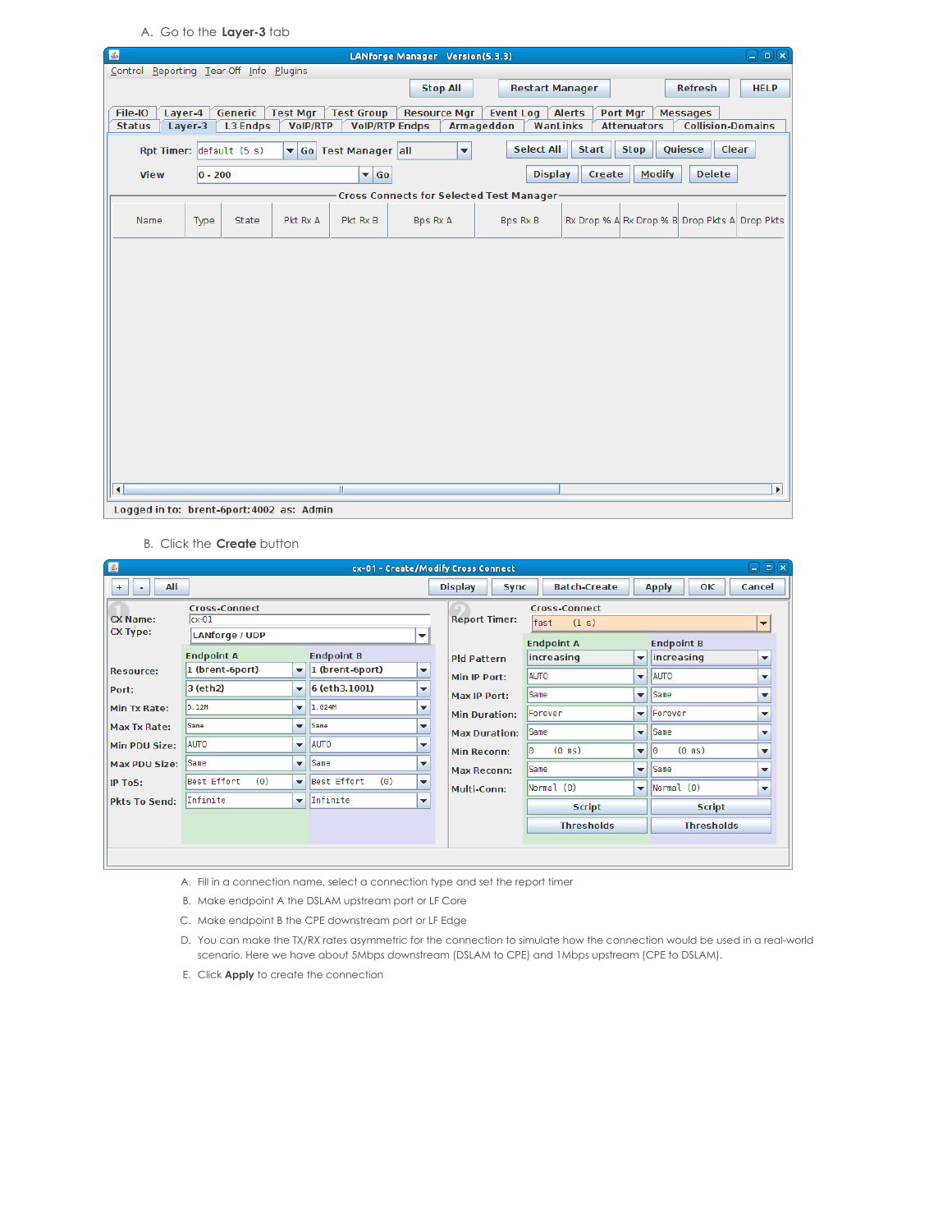A. Go to the **Layer-3** tab

| 圖                                                                                                                                                                   |                                                                                                                                                                                 |                 |                 |                         | LANforge Manager Version(5.3.3) |                               |        |                    |                          | $\Box$ e $\bm{x}$     |  |  |  |  |
|---------------------------------------------------------------------------------------------------------------------------------------------------------------------|---------------------------------------------------------------------------------------------------------------------------------------------------------------------------------|-----------------|-----------------|-------------------------|---------------------------------|-------------------------------|--------|--------------------|--------------------------|-----------------------|--|--|--|--|
| Control Reporting Tear-Off Info Plugins                                                                                                                             |                                                                                                                                                                                 |                 |                 |                         |                                 |                               |        |                    |                          |                       |  |  |  |  |
|                                                                                                                                                                     | <b>Stop All</b><br><b>Refresh</b><br><b>Restart Manager</b><br><b>HELP</b>                                                                                                      |                 |                 |                         |                                 |                               |        |                    |                          |                       |  |  |  |  |
|                                                                                                                                                                     | Generic<br>File-IO<br>Layer-4<br><b>Test Mgr</b><br><b>Test Group</b><br><b>Resource Mgr</b><br><b>Alerts</b><br>Port Mgr<br><b>Messages</b><br><b>Event Log</b>                |                 |                 |                         |                                 |                               |        |                    |                          |                       |  |  |  |  |
| <b>Status</b>                                                                                                                                                       | Layer-3                                                                                                                                                                         | <b>L3 Endps</b> | <b>VoIP/RTP</b> |                         | <b>VolP/RTP Endps</b>           | <b>Armageddon</b><br>WanLinks |        | <b>Attenuators</b> | <b>Collision-Domains</b> |                       |  |  |  |  |
|                                                                                                                                                                     | <b>Select All</b><br>Quiesce<br>Clear<br><b>Start</b><br><b>Stop</b><br>Rpt Timer: default (5 s)<br>Go Test Manager all<br>$\overline{\phantom{a}}$<br>$\overline{\phantom{a}}$ |                 |                 |                         |                                 |                               |        |                    |                          |                       |  |  |  |  |
| <b>View</b>                                                                                                                                                         | $ 0 - 200 $                                                                                                                                                                     |                 |                 | $\blacktriangledown$ Go |                                 | <b>Display</b>                | Create | <b>Modify</b>      | <b>Delete</b>            |                       |  |  |  |  |
|                                                                                                                                                                     |                                                                                                                                                                                 |                 |                 |                         |                                 |                               |        |                    |                          |                       |  |  |  |  |
| Cross Connects for Selected Test Manager-<br>Rx Drop % A Rx Drop % B Drop Pkts A Drop Pkts<br>Pkt Rx A<br>Pkt Rx B<br>Bps Rx A<br>Name<br>Type<br>State<br>Bps Rx B |                                                                                                                                                                                 |                 |                 |                         |                                 |                               |        |                    |                          |                       |  |  |  |  |
|                                                                                                                                                                     |                                                                                                                                                                                 |                 |                 |                         |                                 |                               |        |                    |                          |                       |  |  |  |  |
|                                                                                                                                                                     |                                                                                                                                                                                 |                 |                 |                         |                                 |                               |        |                    |                          |                       |  |  |  |  |
|                                                                                                                                                                     |                                                                                                                                                                                 |                 |                 |                         |                                 |                               |        |                    |                          |                       |  |  |  |  |
|                                                                                                                                                                     |                                                                                                                                                                                 |                 |                 |                         |                                 |                               |        |                    |                          |                       |  |  |  |  |
|                                                                                                                                                                     |                                                                                                                                                                                 |                 |                 |                         |                                 |                               |        |                    |                          |                       |  |  |  |  |
|                                                                                                                                                                     |                                                                                                                                                                                 |                 |                 |                         |                                 |                               |        |                    |                          |                       |  |  |  |  |
|                                                                                                                                                                     |                                                                                                                                                                                 |                 |                 |                         |                                 |                               |        |                    |                          |                       |  |  |  |  |
|                                                                                                                                                                     |                                                                                                                                                                                 |                 |                 |                         |                                 |                               |        |                    |                          |                       |  |  |  |  |
|                                                                                                                                                                     |                                                                                                                                                                                 |                 |                 |                         |                                 |                               |        |                    |                          |                       |  |  |  |  |
|                                                                                                                                                                     |                                                                                                                                                                                 |                 |                 |                         |                                 |                               |        |                    |                          |                       |  |  |  |  |
|                                                                                                                                                                     |                                                                                                                                                                                 |                 |                 |                         |                                 |                               |        |                    |                          |                       |  |  |  |  |
|                                                                                                                                                                     |                                                                                                                                                                                 |                 |                 |                         |                                 |                               |        |                    |                          |                       |  |  |  |  |
|                                                                                                                                                                     |                                                                                                                                                                                 |                 |                 |                         |                                 |                               |        |                    |                          |                       |  |  |  |  |
|                                                                                                                                                                     |                                                                                                                                                                                 |                 |                 |                         |                                 |                               |        |                    |                          |                       |  |  |  |  |
| $\left  \right $                                                                                                                                                    |                                                                                                                                                                                 |                 |                 | $\mathbb{H}$            |                                 |                               |        |                    |                          | $\blacktriangleright$ |  |  |  |  |
| Logged in to: brent-6port:4002 as: Admin                                                                                                                            |                                                                                                                                                                                 |                 |                 |                         |                                 |                               |        |                    |                          |                       |  |  |  |  |

B. Click the **Create** button

| 圖                                  |                                                          |                          |                                    |                          | cx-01 - Create/Modify Cross Connect |                                 |                          |                          | 日间図                      |
|------------------------------------|----------------------------------------------------------|--------------------------|------------------------------------|--------------------------|-------------------------------------|---------------------------------|--------------------------|--------------------------|--------------------------|
| All<br>$+$<br>۰                    |                                                          |                          |                                    |                          | <b>Display</b><br><b>Sync</b>       | <b>Batch-Create</b>             |                          | OK<br><b>Apply</b>       | Cancel                   |
| <b>CX Name:</b><br><b>CX Type:</b> | <b>Cross-Connect</b><br>$cx-01$<br><b>LANforge / UDP</b> |                          | ▼                                  | <b>Report Timer:</b>     | <b>Endpoint B</b>                   | $\overline{\phantom{a}}$        |                          |                          |                          |
|                                    | <b>Endpoint A</b>                                        |                          | <b>Endpoint B</b>                  |                          | <b>Pld Pattern</b>                  | <b>Endpoint A</b><br>increasing | ▼                        | increasing               | $\overline{\phantom{a}}$ |
| <b>Resource:</b>                   | 1 (brent-6port)                                          | ▼                        | 1 (brent-6port)                    | ▼                        | Min IP Port:                        | <b>AUTO</b>                     | $\overline{\phantom{a}}$ | <b>AUTO</b>              | $\overline{\phantom{a}}$ |
| Port:                              | 3 (eth2)                                                 | ▼                        | 6 (eth3.1001)                      | ▼                        | Max IP Port:                        | Same                            | $\overline{\phantom{a}}$ | Same                     | $\overline{\phantom{a}}$ |
| Min Tx Rate:                       | 5.12M                                                    | $\overline{\phantom{0}}$ | 1.024M<br>$\overline{\phantom{a}}$ |                          | <b>Min Duration:</b>                | Forever                         | $\overline{\phantom{a}}$ | Forever                  | $\overline{\phantom{a}}$ |
| <b>Max Tx Rate:</b>                | Same                                                     | ▼                        | Same                               | ▼                        | <b>Max Duration:</b>                | Same                            | $\mathbf{v}$             | Same                     | $\overline{\phantom{a}}$ |
| Min PDU Size:                      | <b>AUTO</b>                                              | ▼                        | <b>AUTO</b>                        | $\overline{\phantom{a}}$ | <b>Min Reconn:</b>                  | $(0 \text{ ms})$<br>IΘ          | $\overline{\phantom{a}}$ | $(0 \text{ ms})$<br>lle. | $\overline{\phantom{a}}$ |
| <b>Max PDU Size:</b>               | Same                                                     | ▼                        | Same                               | $\overline{\phantom{a}}$ | <b>Max Reconn:</b>                  | Same                            | $\overline{\phantom{a}}$ | <b>Same</b>              | $\overline{\phantom{a}}$ |
| <b>IP ToS:</b>                     | Best Effort<br>(0)                                       | $\overline{\phantom{a}}$ | Best Effort<br>(0)                 | $\overline{\phantom{a}}$ | Multi-Conn:                         | Normal (0)                      | $\overline{\mathbf{v}}$  | Normal (0)               | $\overline{\phantom{a}}$ |
| <b>Pkts To Send:</b>               | Infinite                                                 | $\blacktriangledown$     | Infinite                           | $\overline{\phantom{a}}$ |                                     | <b>Script</b>                   |                          | <b>Script</b>            |                          |
|                                    |                                                          |                          |                                    |                          |                                     | <b>Thresholds</b>               |                          | <b>Thresholds</b>        |                          |
|                                    |                                                          |                          |                                    |                          |                                     |                                 |                          |                          |                          |
|                                    |                                                          |                          |                                    |                          |                                     |                                 |                          |                          |                          |

A. Fill in a connection name, select a connection type and set the report timer

- B. Make endpoint A the DSLAM upstream port or LF Core
- C. Make endpoint B the CPE downstream port or LF Edge
- D. You can make the TX/RX rates asymmetric for the connection to simulate how the connection would be used in a real-world scenario. Here we have about 5Mbps downstream (DSLAM to CPE) and 1Mbps upstream (CPE to DSLAM).
- E. Click **Apply** to create the connection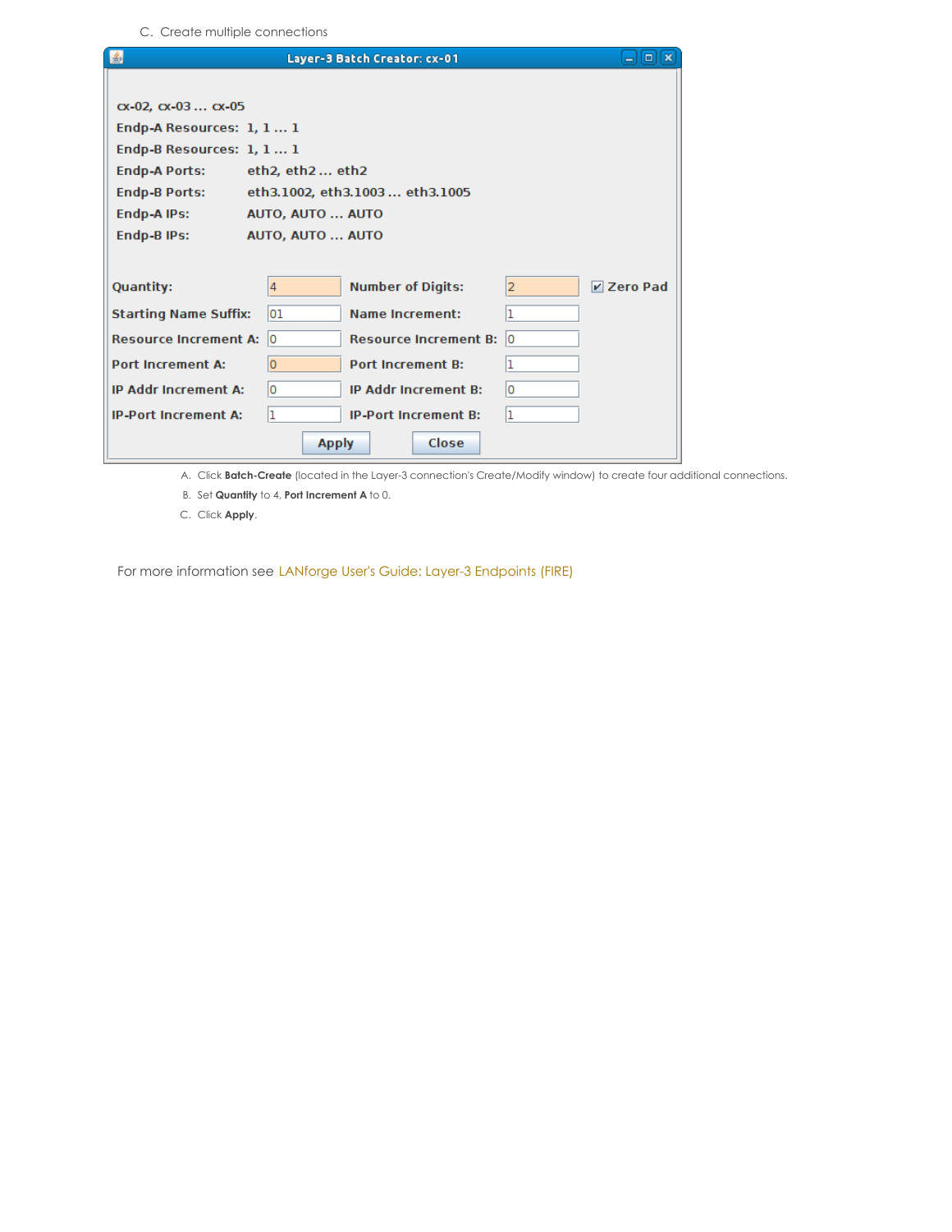C. Create multiple connections

| 图                               | Layer-3 Batch Creator: cx-01       |                | $ \boxed{0}$ $\boxed{\infty}$ |
|---------------------------------|------------------------------------|----------------|-------------------------------|
|                                 |                                    |                |                               |
| $cx - 02$ , $cx - 03$ $cx - 05$ |                                    |                |                               |
| Endp-A Resources: 1, 1 1        |                                    |                |                               |
| Endp-B Resources: 1, 1 1        |                                    |                |                               |
| <b>Endp-A Ports:</b>            | eth2, eth2 eth2                    |                |                               |
| <b>Endp-B Ports:</b>            | eth3.1002, eth3.1003 eth3.1005     |                |                               |
| Endp-A IPs:                     | AUTO, AUTO  AUTO                   |                |                               |
| <b>Endp-B IPs:</b>              | AUTO, AUTO  AUTO                   |                |                               |
|                                 |                                    |                |                               |
| <b>Quantity:</b>                | <b>Number of Digits:</b><br>4      | $\overline{2}$ | <b>Zero Pad</b>               |
| <b>Starting Name Suffix:</b>    | 01<br><b>Name Increment:</b>       | 1              |                               |
| <b>Resource Increment A:</b>    | ١o<br><b>Resource Increment B:</b> | ١o             |                               |
| <b>Port Increment A:</b>        | <b>Port Increment B:</b><br>0      | ı              |                               |
| <b>IP Addr Increment A:</b>     | ١o<br><b>IP Addr Increment B:</b>  | ١o             |                               |
| <b>IP-Port Increment A:</b>     | ı<br><b>IP-Port Increment B:</b>   | 1              |                               |
|                                 | Close<br><b>Apply</b>              |                |                               |

A. Click **Batch-Create** (located in the Layer-3 connection's Create/Modify window) to create four additional connections.

B. Set **Quantity** to 4, **Port Increment A** to 0.

C. Click **Apply**.

For more information see LANforge User's Guide: Layer-3 [Endpoints](http://www.candelatech.com/lfgui_ug.php#endp) (FIRE)